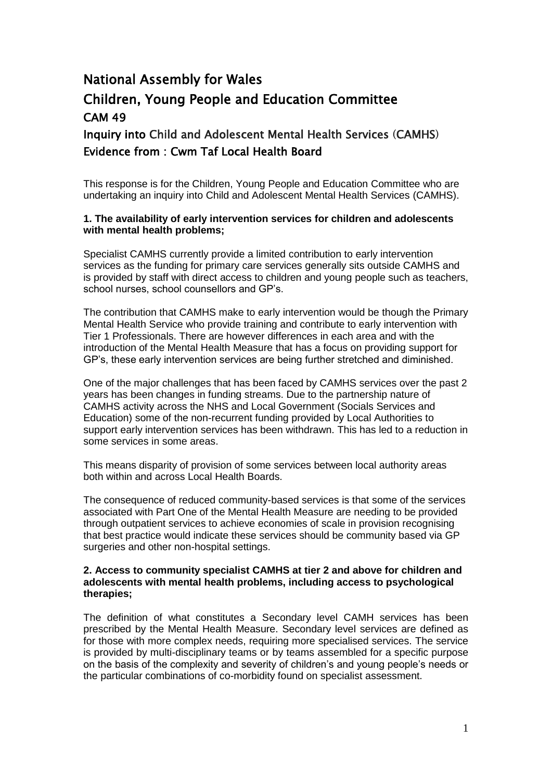# National Assembly for Wales Children, Young People and Education Committee CAM 49

Inquiry into Child and Adolescent Mental Health Services (CAMHS) Evidence from : Cwm Taf Local Health Board

This response is for the Children, Young People and Education Committee who are undertaking an inquiry into Child and Adolescent Mental Health Services (CAMHS).

#### **1. The availability of early intervention services for children and adolescents with mental health problems;**

Specialist CAMHS currently provide a limited contribution to early intervention services as the funding for primary care services generally sits outside CAMHS and is provided by staff with direct access to children and young people such as teachers, school nurses, school counsellors and GP's.

The contribution that CAMHS make to early intervention would be though the Primary Mental Health Service who provide training and contribute to early intervention with Tier 1 Professionals. There are however differences in each area and with the introduction of the Mental Health Measure that has a focus on providing support for GP"s, these early intervention services are being further stretched and diminished.

One of the major challenges that has been faced by CAMHS services over the past 2 years has been changes in funding streams. Due to the partnership nature of CAMHS activity across the NHS and Local Government (Socials Services and Education) some of the non-recurrent funding provided by Local Authorities to support early intervention services has been withdrawn. This has led to a reduction in some services in some areas.

This means disparity of provision of some services between local authority areas both within and across Local Health Boards.

The consequence of reduced community-based services is that some of the services associated with Part One of the Mental Health Measure are needing to be provided through outpatient services to achieve economies of scale in provision recognising that best practice would indicate these services should be community based via GP surgeries and other non-hospital settings.

#### **2. Access to community specialist CAMHS at tier 2 and above for children and adolescents with mental health problems, including access to psychological therapies;**

The definition of what constitutes a Secondary level CAMH services has been prescribed by the Mental Health Measure. Secondary level services are defined as for those with more complex needs, requiring more specialised services. The service is provided by multi-disciplinary teams or by teams assembled for a specific purpose on the basis of the complexity and severity of children"s and young people"s needs or the particular combinations of co-morbidity found on specialist assessment.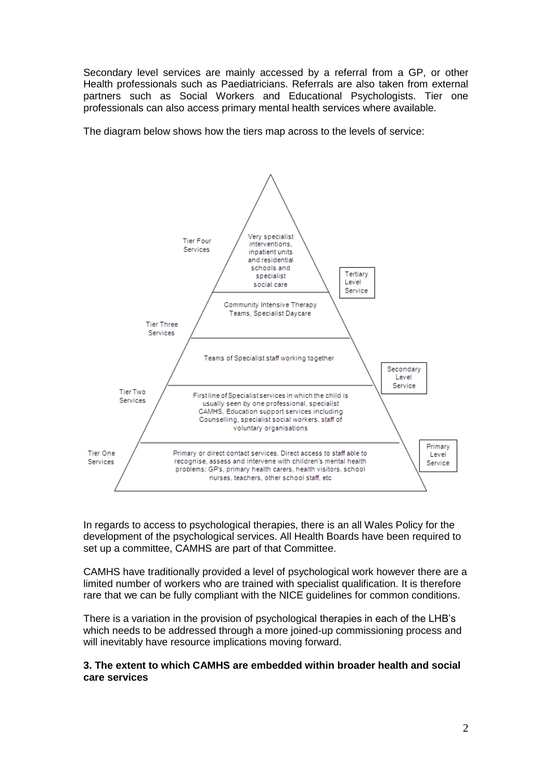Secondary level services are mainly accessed by a referral from a GP, or other Health professionals such as Paediatricians. Referrals are also taken from external partners such as Social Workers and Educational Psychologists. Tier one professionals can also access primary mental health services where available.

The diagram below shows how the tiers map across to the levels of service:



In regards to access to psychological therapies, there is an all Wales Policy for the development of the psychological services. All Health Boards have been required to set up a committee, CAMHS are part of that Committee.

CAMHS have traditionally provided a level of psychological work however there are a limited number of workers who are trained with specialist qualification. It is therefore rare that we can be fully compliant with the NICE guidelines for common conditions.

There is a variation in the provision of psychological therapies in each of the LHB"s which needs to be addressed through a more joined-up commissioning process and will inevitably have resource implications moving forward.

#### **3. The extent to which CAMHS are embedded within broader health and social care services**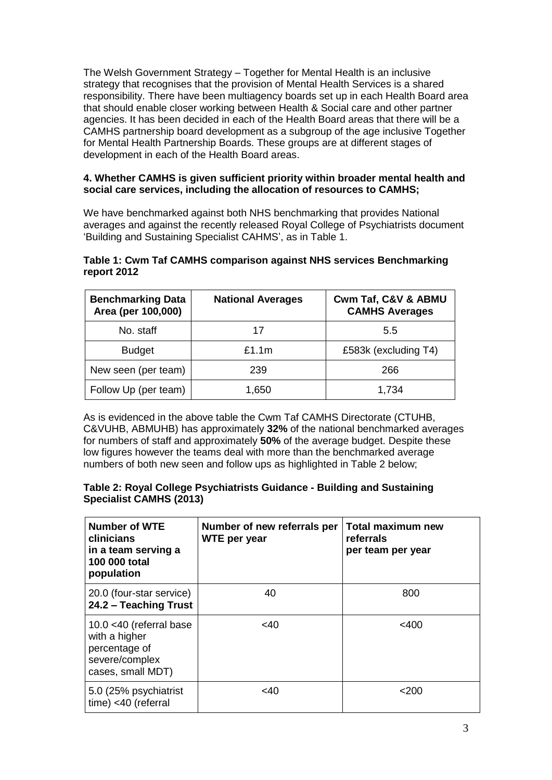The Welsh Government Strategy – Together for Mental Health is an inclusive strategy that recognises that the provision of Mental Health Services is a shared responsibility. There have been multiagency boards set up in each Health Board area that should enable closer working between Health & Social care and other partner agencies. It has been decided in each of the Health Board areas that there will be a CAMHS partnership board development as a subgroup of the age inclusive Together for Mental Health Partnership Boards. These groups are at different stages of development in each of the Health Board areas.

## **4. Whether CAMHS is given sufficient priority within broader mental health and social care services, including the allocation of resources to CAMHS;**

We have benchmarked against both NHS benchmarking that provides National averages and against the recently released Royal College of Psychiatrists document "Building and Sustaining Specialist CAHMS", as in Table 1.

| <b>Benchmarking Data</b><br>Area (per 100,000) | <b>National Averages</b> | Cwm Taf, C&V & ABMU<br><b>CAMHS Averages</b> |
|------------------------------------------------|--------------------------|----------------------------------------------|
| No. staff                                      | 17                       | 5.5                                          |
| <b>Budget</b>                                  | £1.1m                    | £583k (excluding T4)                         |
| New seen (per team)                            | 239                      | 266                                          |
| Follow Up (per team)                           | 1,650                    | 1,734                                        |

## **Table 1: Cwm Taf CAMHS comparison against NHS services Benchmarking report 2012**

As is evidenced in the above table the Cwm Taf CAMHS Directorate (CTUHB, C&VUHB, ABMUHB) has approximately **32%** of the national benchmarked averages for numbers of staff and approximately **50%** of the average budget. Despite these low figures however the teams deal with more than the benchmarked average numbers of both new seen and follow ups as highlighted in Table 2 below;

## **Table 2: Royal College Psychiatrists Guidance - Building and Sustaining Specialist CAMHS (2013)**

| <b>Number of WTE</b><br>clinicians<br>in a team serving a<br>100 000 total<br>population            | Number of new referrals per<br>WTE per year | <b>Total maximum new</b><br>referrals<br>per team per year |
|-----------------------------------------------------------------------------------------------------|---------------------------------------------|------------------------------------------------------------|
| 20.0 (four-star service)<br>24.2 - Teaching Trust                                                   | 40                                          | 800                                                        |
| 10.0 $<$ 40 (referral base<br>with a higher<br>percentage of<br>severe/complex<br>cases, small MDT) | <40                                         | $<$ 400                                                    |
| 5.0 (25% psychiatrist<br>time) <40 (referral                                                        | <40                                         | $<$ 200                                                    |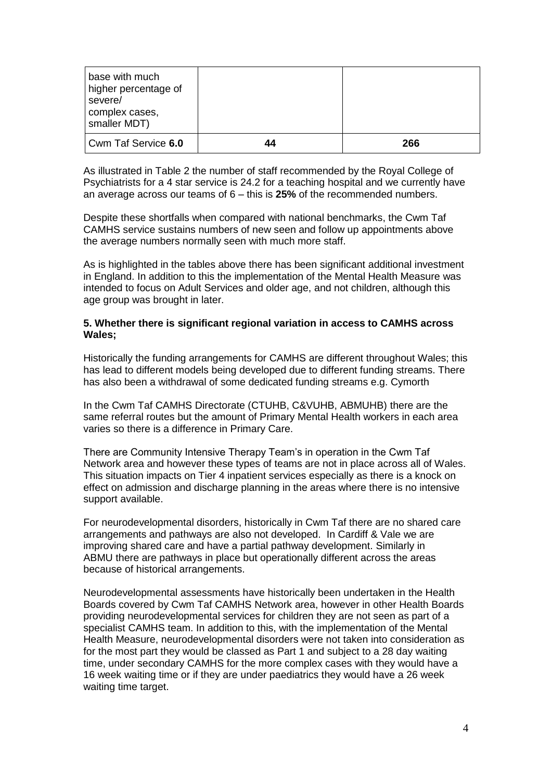| base with much<br>higher percentage of<br>severe/<br>complex cases,<br>smaller MDT) |    |     |
|-------------------------------------------------------------------------------------|----|-----|
| Cwm Taf Service 6.0                                                                 | 44 | 266 |

As illustrated in Table 2 the number of staff recommended by the Royal College of Psychiatrists for a 4 star service is 24.2 for a teaching hospital and we currently have an average across our teams of 6 – this is **25%** of the recommended numbers.

Despite these shortfalls when compared with national benchmarks, the Cwm Taf CAMHS service sustains numbers of new seen and follow up appointments above the average numbers normally seen with much more staff.

As is highlighted in the tables above there has been significant additional investment in England. In addition to this the implementation of the Mental Health Measure was intended to focus on Adult Services and older age, and not children, although this age group was brought in later.

#### **5. Whether there is significant regional variation in access to CAMHS across Wales;**

Historically the funding arrangements for CAMHS are different throughout Wales; this has lead to different models being developed due to different funding streams. There has also been a withdrawal of some dedicated funding streams e.g. Cymorth

In the Cwm Taf CAMHS Directorate (CTUHB, C&VUHB, ABMUHB) there are the same referral routes but the amount of Primary Mental Health workers in each area varies so there is a difference in Primary Care.

There are Community Intensive Therapy Team"s in operation in the Cwm Taf Network area and however these types of teams are not in place across all of Wales. This situation impacts on Tier 4 inpatient services especially as there is a knock on effect on admission and discharge planning in the areas where there is no intensive support available.

For neurodevelopmental disorders, historically in Cwm Taf there are no shared care arrangements and pathways are also not developed. In Cardiff & Vale we are improving shared care and have a partial pathway development. Similarly in ABMU there are pathways in place but operationally different across the areas because of historical arrangements.

Neurodevelopmental assessments have historically been undertaken in the Health Boards covered by Cwm Taf CAMHS Network area, however in other Health Boards providing neurodevelopmental services for children they are not seen as part of a specialist CAMHS team. In addition to this, with the implementation of the Mental Health Measure, neurodevelopmental disorders were not taken into consideration as for the most part they would be classed as Part 1 and subject to a 28 day waiting time, under secondary CAMHS for the more complex cases with they would have a 16 week waiting time or if they are under paediatrics they would have a 26 week waiting time target.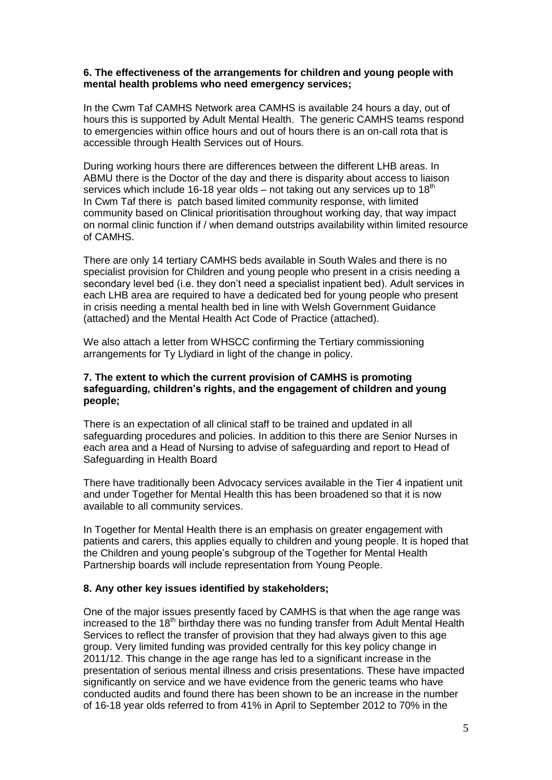#### **6. The effectiveness of the arrangements for children and young people with mental health problems who need emergency services;**

In the Cwm Taf CAMHS Network area CAMHS is available 24 hours a day, out of hours this is supported by Adult Mental Health. The generic CAMHS teams respond to emergencies within office hours and out of hours there is an on-call rota that is accessible through Health Services out of Hours.

During working hours there are differences between the different LHB areas. In ABMU there is the Doctor of the day and there is disparity about access to liaison services which include 16-18 year olds – not taking out any services up to  $18<sup>th</sup>$ In Cwm Taf there is patch based limited community response, with limited community based on Clinical prioritisation throughout working day, that way impact on normal clinic function if / when demand outstrips availability within limited resource of CAMHS.

There are only 14 tertiary CAMHS beds available in South Wales and there is no specialist provision for Children and young people who present in a crisis needing a secondary level bed (i.e. they don"t need a specialist inpatient bed). Adult services in each LHB area are required to have a dedicated bed for young people who present in crisis needing a mental health bed in line with Welsh Government Guidance (attached) and the Mental Health Act Code of Practice (attached).

We also attach a letter from WHSCC confirming the Tertiary commissioning arrangements for Ty Llydiard in light of the change in policy.

#### **7. The extent to which the current provision of CAMHS is promoting safeguarding, children's rights, and the engagement of children and young people;**

There is an expectation of all clinical staff to be trained and updated in all safeguarding procedures and policies. In addition to this there are Senior Nurses in each area and a Head of Nursing to advise of safeguarding and report to Head of Safeguarding in Health Board

There have traditionally been Advocacy services available in the Tier 4 inpatient unit and under Together for Mental Health this has been broadened so that it is now available to all community services.

In Together for Mental Health there is an emphasis on greater engagement with patients and carers, this applies equally to children and young people. It is hoped that the Children and young people"s subgroup of the Together for Mental Health Partnership boards will include representation from Young People.

## **8. Any other key issues identified by stakeholders;**

One of the major issues presently faced by CAMHS is that when the age range was increased to the 18<sup>th</sup> birthday there was no funding transfer from Adult Mental Health Services to reflect the transfer of provision that they had always given to this age group. Very limited funding was provided centrally for this key policy change in 2011/12. This change in the age range has led to a significant increase in the presentation of serious mental illness and crisis presentations. These have impacted significantly on service and we have evidence from the generic teams who have conducted audits and found there has been shown to be an increase in the number of 16-18 year olds referred to from 41% in April to September 2012 to 70% in the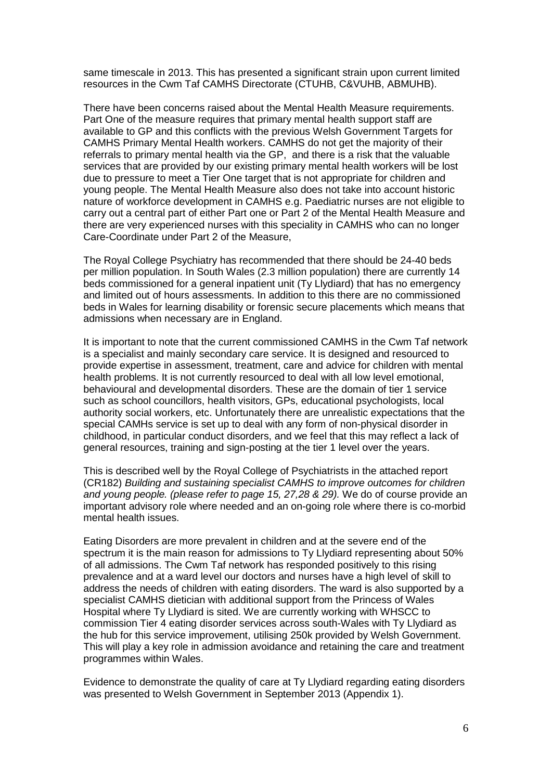same timescale in 2013. This has presented a significant strain upon current limited resources in the Cwm Taf CAMHS Directorate (CTUHB, C&VUHB, ABMUHB).

There have been concerns raised about the Mental Health Measure requirements. Part One of the measure requires that primary mental health support staff are available to GP and this conflicts with the previous Welsh Government Targets for CAMHS Primary Mental Health workers. CAMHS do not get the majority of their referrals to primary mental health via the GP, and there is a risk that the valuable services that are provided by our existing primary mental health workers will be lost due to pressure to meet a Tier One target that is not appropriate for children and young people. The Mental Health Measure also does not take into account historic nature of workforce development in CAMHS e.g. Paediatric nurses are not eligible to carry out a central part of either Part one or Part 2 of the Mental Health Measure and there are very experienced nurses with this speciality in CAMHS who can no longer Care-Coordinate under Part 2 of the Measure,

The Royal College Psychiatry has recommended that there should be 24-40 beds per million population. In South Wales (2.3 million population) there are currently 14 beds commissioned for a general inpatient unit (Ty Llydiard) that has no emergency and limited out of hours assessments. In addition to this there are no commissioned beds in Wales for learning disability or forensic secure placements which means that admissions when necessary are in England.

It is important to note that the current commissioned CAMHS in the Cwm Taf network is a specialist and mainly secondary care service. It is designed and resourced to provide expertise in assessment, treatment, care and advice for children with mental health problems. It is not currently resourced to deal with all low level emotional, behavioural and developmental disorders. These are the domain of tier 1 service such as school councillors, health visitors, GPs, educational psychologists, local authority social workers, etc. Unfortunately there are unrealistic expectations that the special CAMHs service is set up to deal with any form of non-physical disorder in childhood, in particular conduct disorders, and we feel that this may reflect a lack of general resources, training and sign-posting at the tier 1 level over the years.

This is described well by the Royal College of Psychiatrists in the attached report (CR182) *Building and sustaining specialist CAMHS to improve outcomes for children and young people. (please refer to page 15, 27,28 & 29).* We do of course provide an important advisory role where needed and an on-going role where there is co-morbid mental health issues.

Eating Disorders are more prevalent in children and at the severe end of the spectrum it is the main reason for admissions to Ty Llydiard representing about 50% of all admissions. The Cwm Taf network has responded positively to this rising prevalence and at a ward level our doctors and nurses have a high level of skill to address the needs of children with eating disorders. The ward is also supported by a specialist CAMHS dietician with additional support from the Princess of Wales Hospital where Ty Llydiard is sited. We are currently working with WHSCC to commission Tier 4 eating disorder services across south-Wales with Ty Llydiard as the hub for this service improvement, utilising 250k provided by Welsh Government. This will play a key role in admission avoidance and retaining the care and treatment programmes within Wales.

Evidence to demonstrate the quality of care at Ty Llydiard regarding eating disorders was presented to Welsh Government in September 2013 (Appendix 1).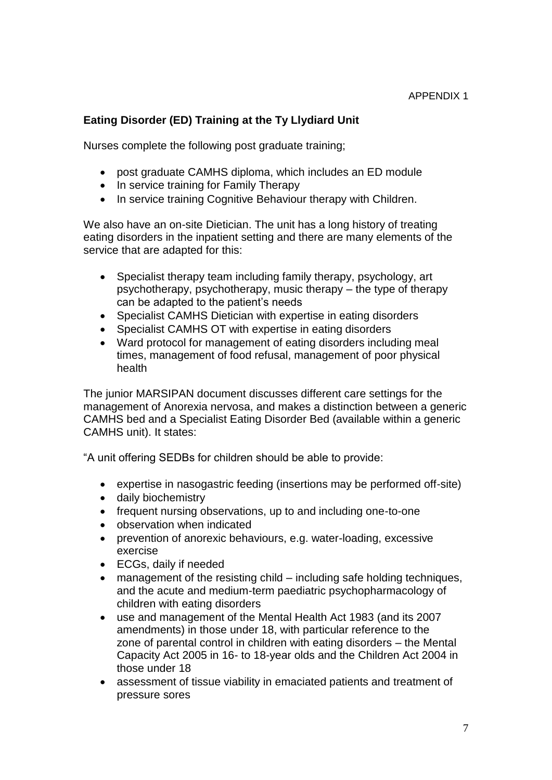# **Eating Disorder (ED) Training at the Ty Llydiard Unit**

Nurses complete the following post graduate training;

- post graduate CAMHS diploma, which includes an ED module
- In service training for Family Therapy
- In service training Cognitive Behaviour therapy with Children.

We also have an on-site Dietician. The unit has a long history of treating eating disorders in the inpatient setting and there are many elements of the service that are adapted for this:

- Specialist therapy team including family therapy, psychology, art psychotherapy, psychotherapy, music therapy – the type of therapy can be adapted to the patient's needs
- Specialist CAMHS Dietician with expertise in eating disorders
- Specialist CAMHS OT with expertise in eating disorders
- Ward protocol for management of eating disorders including meal times, management of food refusal, management of poor physical health

The junior MARSIPAN document discusses different care settings for the management of Anorexia nervosa, and makes a distinction between a generic CAMHS bed and a Specialist Eating Disorder Bed (available within a generic CAMHS unit). It states:

"A unit offering SEDBs for children should be able to provide:

- expertise in nasogastric feeding (insertions may be performed off-site)
- daily biochemistry
- frequent nursing observations, up to and including one-to-one
- observation when indicated
- prevention of anorexic behaviours, e.g. water-loading, excessive exercise
- ECGs, daily if needed
- management of the resisting child including safe holding techniques, and the acute and medium-term paediatric psychopharmacology of children with eating disorders
- use and management of the Mental Health Act 1983 (and its 2007 amendments) in those under 18, with particular reference to the zone of parental control in children with eating disorders – the Mental Capacity Act 2005 in 16- to 18-year olds and the Children Act 2004 in those under 18
- assessment of tissue viability in emaciated patients and treatment of pressure sores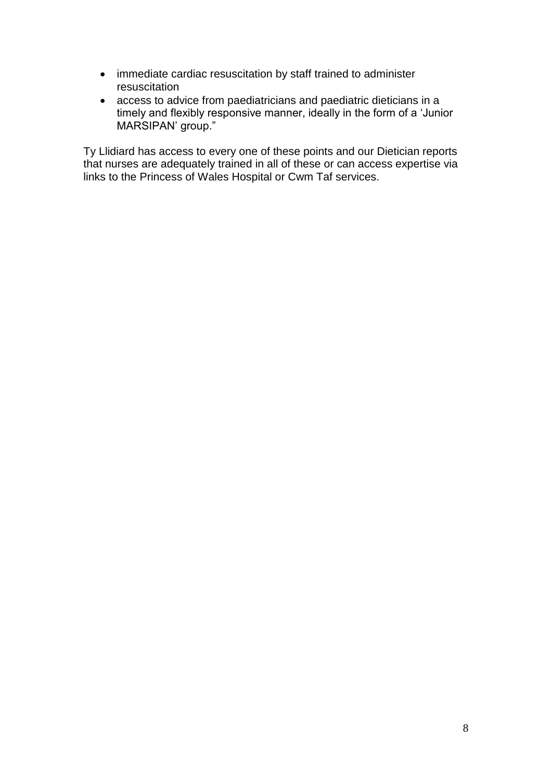- immediate cardiac resuscitation by staff trained to administer resuscitation
- access to advice from paediatricians and paediatric dieticians in a timely and flexibly responsive manner, ideally in the form of a "Junior MARSIPAN' group."

Ty Llidiard has access to every one of these points and our Dietician reports that nurses are adequately trained in all of these or can access expertise via links to the Princess of Wales Hospital or Cwm Taf services.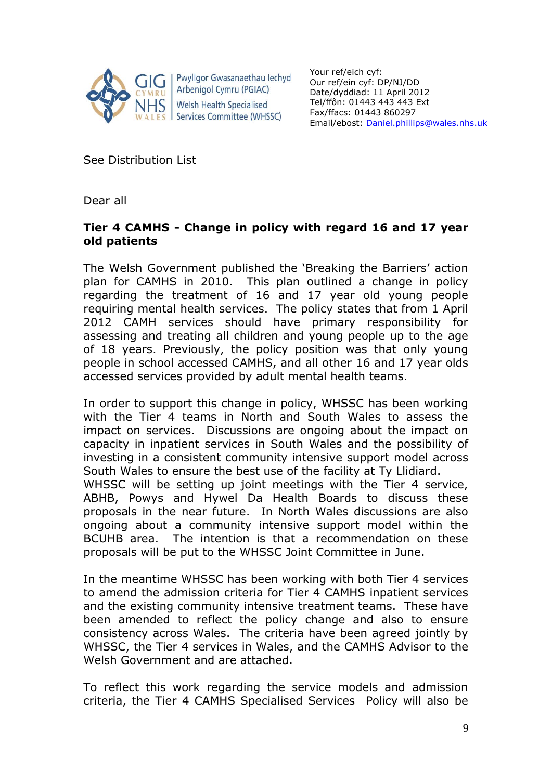

Pwyllgor Gwasanaethau Iechyd Arbenigol Cymru (PGIAC) **Welsh Health Specialised** Services Committee (WHSSC)

Your ref/eich cyf: Our ref/ein cyf: DP/NJ/DD Date/dyddiad: 11 April 2012 Tel/ffôn: 01443 443 443 Ext Fax/ffacs: 01443 860297 Email/ebost: [Daniel.phillips@wales.nhs.uk](mailto:Daniel.phillips@wales.nhs.uk)

See Distribution List

Dear all

# **Tier 4 CAMHS - Change in policy with regard 16 and 17 year old patients**

The Welsh Government published the 'Breaking the Barriers' action plan for CAMHS in 2010. This plan outlined a change in policy regarding the treatment of 16 and 17 year old young people requiring mental health services. The policy states that from 1 April 2012 CAMH services should have primary responsibility for assessing and treating all children and young people up to the age of 18 years. Previously, the policy position was that only young people in school accessed CAMHS, and all other 16 and 17 year olds accessed services provided by adult mental health teams.

In order to support this change in policy, WHSSC has been working with the Tier 4 teams in North and South Wales to assess the impact on services. Discussions are ongoing about the impact on capacity in inpatient services in South Wales and the possibility of investing in a consistent community intensive support model across South Wales to ensure the best use of the facility at Ty Llidiard.

WHSSC will be setting up joint meetings with the Tier 4 service, ABHB, Powys and Hywel Da Health Boards to discuss these proposals in the near future. In North Wales discussions are also ongoing about a community intensive support model within the BCUHB area. The intention is that a recommendation on these proposals will be put to the WHSSC Joint Committee in June.

In the meantime WHSSC has been working with both Tier 4 services to amend the admission criteria for Tier 4 CAMHS inpatient services and the existing community intensive treatment teams. These have been amended to reflect the policy change and also to ensure consistency across Wales. The criteria have been agreed jointly by WHSSC, the Tier 4 services in Wales, and the CAMHS Advisor to the Welsh Government and are attached.

To reflect this work regarding the service models and admission criteria, the Tier 4 CAMHS Specialised Services Policy will also be